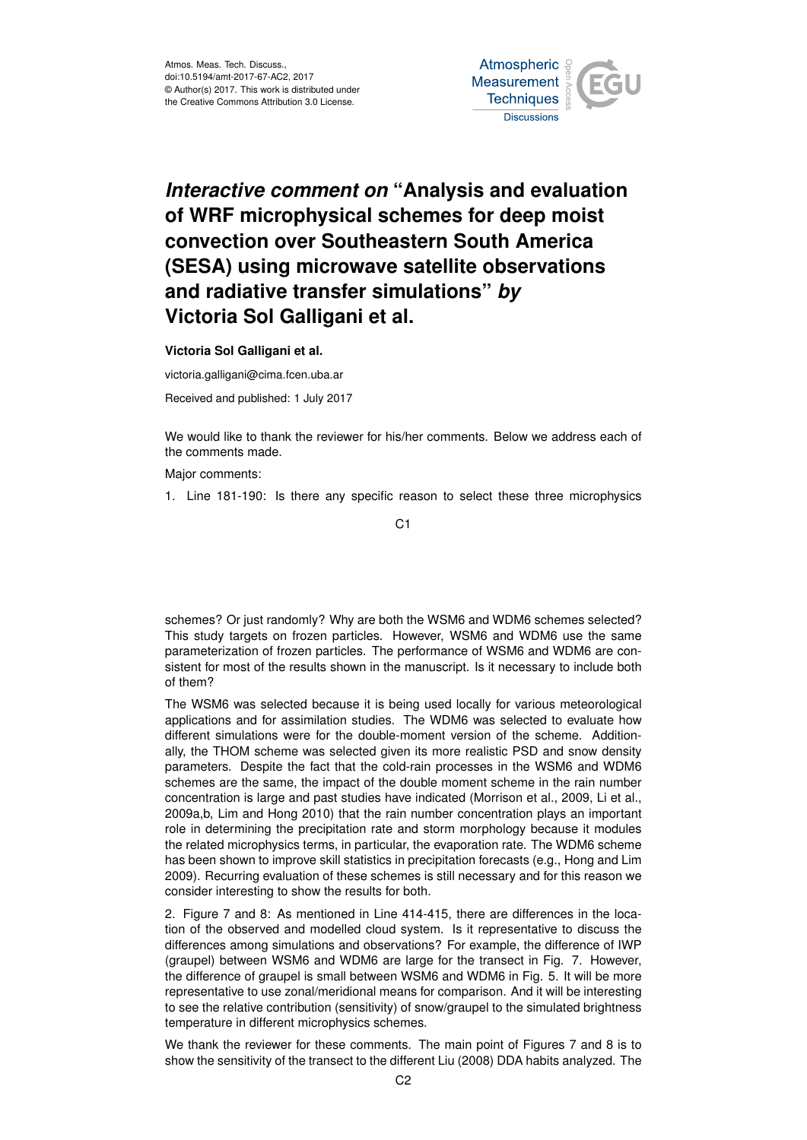

## *Interactive comment on* **"Analysis and evaluation of WRF microphysical schemes for deep moist convection over Southeastern South America (SESA) using microwave satellite observations and radiative transfer simulations"** *by* **Victoria Sol Galligani et al.**

**Victoria Sol Galligani et al.**

victoria.galligani@cima.fcen.uba.ar

Received and published: 1 July 2017

We would like to thank the reviewer for his/her comments. Below we address each of the comments made.

Major comments:

1. Line 181-190: Is there any specific reason to select these three microphysics

C1

schemes? Or just randomly? Why are both the WSM6 and WDM6 schemes selected? This study targets on frozen particles. However, WSM6 and WDM6 use the same parameterization of frozen particles. The performance of WSM6 and WDM6 are consistent for most of the results shown in the manuscript. Is it necessary to include both of them?

The WSM6 was selected because it is being used locally for various meteorological applications and for assimilation studies. The WDM6 was selected to evaluate how different simulations were for the double-moment version of the scheme. Additionally, the THOM scheme was selected given its more realistic PSD and snow density parameters. Despite the fact that the cold-rain processes in the WSM6 and WDM6 schemes are the same, the impact of the double moment scheme in the rain number concentration is large and past studies have indicated (Morrison et al., 2009, Li et al., 2009a,b, Lim and Hong 2010) that the rain number concentration plays an important role in determining the precipitation rate and storm morphology because it modules the related microphysics terms, in particular, the evaporation rate. The WDM6 scheme has been shown to improve skill statistics in precipitation forecasts (e.g., Hong and Lim 2009). Recurring evaluation of these schemes is still necessary and for this reason we consider interesting to show the results for both.

2. Figure 7 and 8: As mentioned in Line 414-415, there are differences in the location of the observed and modelled cloud system. Is it representative to discuss the differences among simulations and observations? For example, the difference of IWP (graupel) between WSM6 and WDM6 are large for the transect in Fig. 7. However, the difference of graupel is small between WSM6 and WDM6 in Fig. 5. It will be more representative to use zonal/meridional means for comparison. And it will be interesting to see the relative contribution (sensitivity) of snow/graupel to the simulated brightness temperature in different microphysics schemes.

We thank the reviewer for these comments. The main point of Figures 7 and 8 is to show the sensitivity of the transect to the different Liu (2008) DDA habits analyzed. The